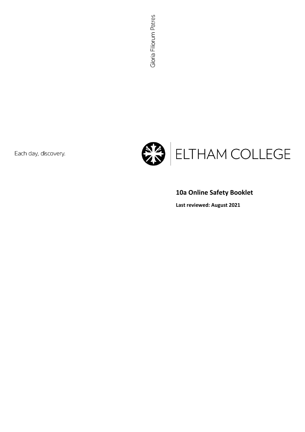Each day, discovery.



# **10a Online Safety Booklet**

**Last reviewed: August 2021**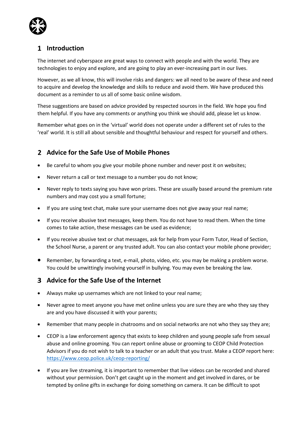

### **Introduction**

The internet and cyberspace are great ways to connect with people and with the world. They are technologies to enjoy and explore, and are going to play an ever-increasing part in our lives.

However, as we all know, this will involve risks and dangers: we all need to be aware of these and need to acquire and develop the knowledge and skills to reduce and avoid them. We have produced this document as a reminder to us all of some basic online wisdom.

These suggestions are based on advice provided by respected sources in the field. We hope you find them helpful. If you have any comments or anything you think we should add, please let us know.

Remember what goes on in the 'virtual' world does not operate under a different set of rules to the 'real' world. It is still all about sensible and thoughtful behaviour and respect for yourself and others.

#### **Advice for the Safe Use of Mobile Phones**

- Be careful to whom you give your mobile phone number and never post it on websites;
- Never return a call or text message to a number you do not know;
- Never reply to texts saying you have won prizes. These are usually based around the premium rate numbers and may cost you a small fortune;
- If you are using text chat, make sure your username does not give away your real name;
- If you receive abusive text messages, keep them. You do not have to read them. When the time comes to take action, these messages can be used as evidence;
- If you receive abusive text or chat messages, ask for help from your Form Tutor, Head of Section, the School Nurse, a parent or any trusted adult. You can also contact your mobile phone provider;
- Remember, by forwarding a text, e-mail, photo, video, etc. you may be making a problem worse. You could be unwittingly involving yourself in bullying. You may even be breaking the law.

#### **Advice for the Safe Use of the Internet**

- Always make up usernames which are not linked to your real name;
- Never agree to meet anyone you have met online unless you are sure they are who they say they are and you have discussed it with your parents;
- Remember that many people in chatrooms and on social networks are not who they say they are;
- CEOP is a law enforcement agency that exists to keep children and young people safe from sexual abuse and online grooming. You can report online abuse or grooming to CEOP Child Protection Advisors if you do not wish to talk to a teacher or an adult that you trust. Make a CEOP report here: <https://www.ceop.police.uk/ceop-reporting/>
- If you are live streaming, it is important to remember that live videos can be recorded and shared without your permission. Don't get caught up in the moment and get involved in dares, or be tempted by online gifts in exchange for doing something on camera. It can be difficult to spot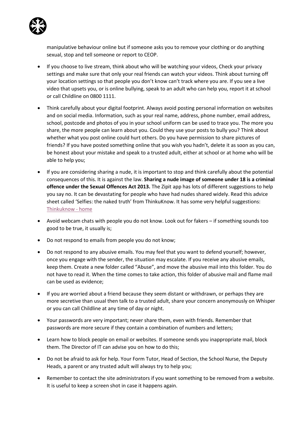

manipulative behaviour online but if someone asks you to remove your clothing or do anything sexual, stop and tell someone or report to CEOP.

- If you choose to live stream, think about who will be watching your videos, Check your privacy settings and make sure that only your real friends can watch your videos. Think about turning off your location settings so that people you don't know can't track where you are. If you see a live video that upsets you, or is online bullying, speak to an adult who can help you, report it at school or call Childline on 0800 1111.
- Think carefully about your digital footprint. Always avoid posting personal information on websites and on social media. Information, such as your real name, address, phone number, email address, school, postcode and photos of you in your school uniform can be used to trace you. The more you share, the more people can learn about you. Could they use your posts to bully you? Think about whether what you post online could hurt others. Do you have permission to share pictures of friends? If you have posted something online that you wish you hadn't, delete it as soon as you can, be honest about your mistake and speak to a trusted adult, either at school or at home who will be able to help you;
- If you are considering sharing a nude, it is important to stop and think carefully about the potential consequences of this. It is against the law. **Sharing a nude image of someone under 18 is a criminal offence under the Sexual Offences Act 2013.** The Zipit app has lots of different suggestions to help you say no. It can be devastating for people who have had nudes shared widely. Read this advice sheet called 'Selfies: the naked truth' from ThinkuKnow. It has some very helpful suggestions: [Thinkuknow -](https://www.thinkuknow.co.uk/14_plus/Need-advice/Selfies-and-sexting/) home
- Avoid webcam chats with people you do not know. Look out for fakers if something sounds too good to be true, it usually is;
- Do not respond to emails from people you do not know;
- Do not respond to any abusive emails. You may feel that you want to defend yourself; however, once you engage with the sender, the situation may escalate. If you receive any abusive emails, keep them. Create a new folder called "Abuse", and move the abusive mail into this folder. You do not have to read it. When the time comes to take action, this folder of abusive mail and flame mail can be used as evidence;
- If you are worried about a friend because they seem distant or withdrawn, or perhaps they are more secretive than usual then talk to a trusted adult, share your concern anonymously on Whisper or you can call Childline at any time of day or night.
- Your passwords are very important; never share them, even with friends. Remember that passwords are more secure if they contain a combination of numbers and letters;
- Learn how to block people on email or websites. If someone sends you inappropriate mail, block them. The Director of IT can advise you on how to do this;
- Do not be afraid to ask for help. Your Form Tutor, Head of Section, the School Nurse, the Deputy Heads, a parent or any trusted adult will always try to help you;
- Remember to contact the site administrators if you want something to be removed from a website. It is useful to keep a screen shot in case it happens again.